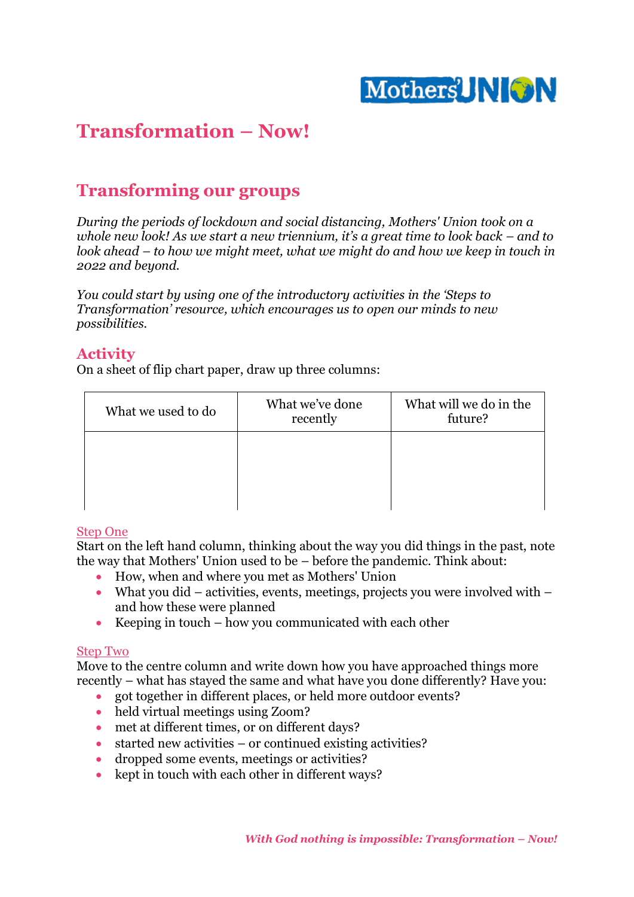

# **Transformation – Now!**

## **Transforming our groups**

*During the periods of lockdown and social distancing, Mothers' Union took on a whole new look! As we start a new triennium, it's a great time to look back – and to look ahead – to how we might meet, what we might do and how we keep in touch in 2022 and beyond.*

*You could start by using one of the introductory activities in the 'Steps to Transformation' resource, which encourages us to open our minds to new possibilities.*

## **Activity**

On a sheet of flip chart paper, draw up three columns:

| What we used to do | What we've done<br>recently | What will we do in the<br>future? |
|--------------------|-----------------------------|-----------------------------------|
|                    |                             |                                   |
|                    |                             |                                   |

## Step One

Start on the left hand column, thinking about the way you did things in the past, note the way that Mothers' Union used to be – before the pandemic. Think about:

- How, when and where you met as Mothers' Union
- What you did activities, events, meetings, projects you were involved with  $$ and how these were planned
- Keeping in touch how you communicated with each other

## Step Two

Move to the centre column and write down how you have approached things more recently – what has stayed the same and what have you done differently? Have you:

- got together in different places, or held more outdoor events?
- held virtual meetings using Zoom?
- met at different times, or on different days?
- started new activities or continued existing activities?
- dropped some events, meetings or activities?
- kept in touch with each other in different ways?